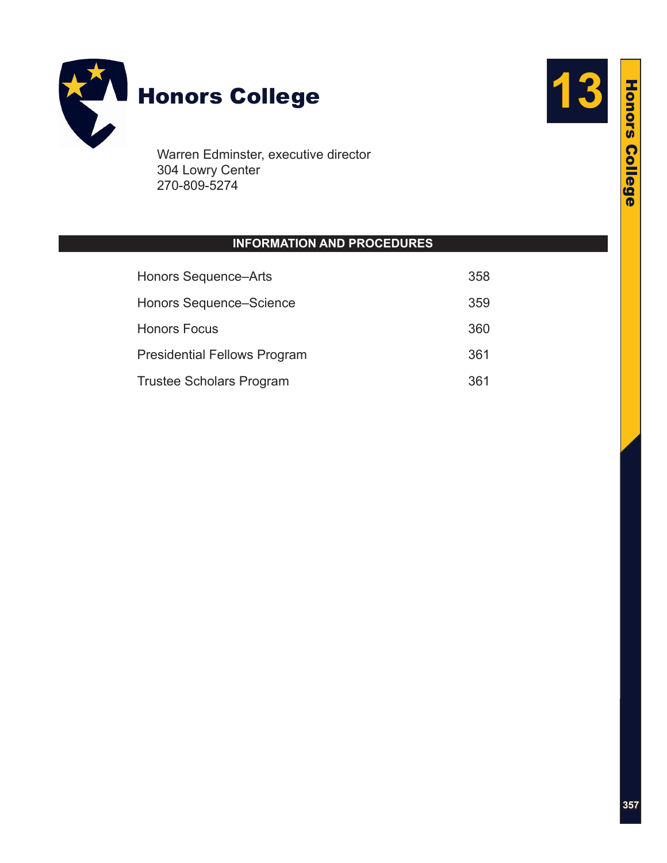

Warren Edminster, executive director 304 Lowry Center 270-809-5274

# **INFORMATION AND PROCEDURES**

| <b>Honors Sequence-Arts</b>         | 358 |
|-------------------------------------|-----|
| Honors Sequence–Science             | 359 |
| <b>Honors Focus</b>                 | 360 |
| <b>Presidential Fellows Program</b> | 361 |
| <b>Trustee Scholars Program</b>     | 361 |

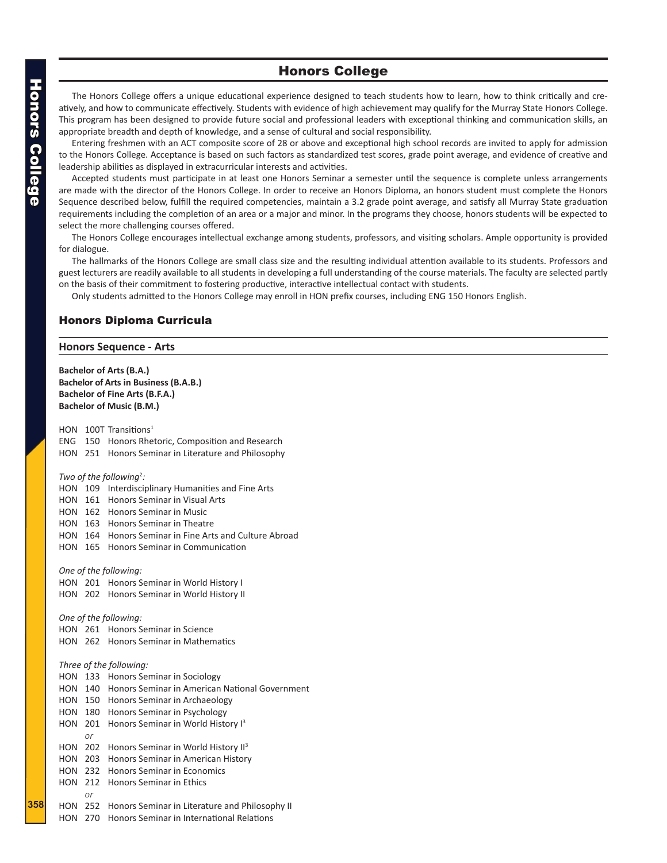## Honors College

<span id="page-1-0"></span>The Honors College offers a unique educational experience designed to teach students how to learn, how to think critically and creatively, and how to communicate effectively. Students with evidence of high achievement may qualify for the Murray State Honors College. This program has been designed to provide future social and professional leaders with exceptional thinking and communication skills, an appropriate breadth and depth of knowledge, and a sense of cultural and social responsibility.

Entering freshmen with an ACT composite score of 28 or above and exceptional high school records are invited to apply for admission to the Honors College. Acceptance is based on such factors as standardized test scores, grade point average, and evidence of creative and leadership abilities as displayed in extracurricular interests and activities.

Accepted students must participate in at least one Honors Seminar a semester until the sequence is complete unless arrangements are made with the director of the Honors College. In order to receive an Honors Diploma, an honors student must complete the Honors Sequence described below, fulfill the required competencies, maintain a 3.2 grade point average, and satisfy all Murray State graduation requirements including the completion of an area or a major and minor. In the programs they choose, honors students will be expected to select the more challenging courses offered.

The Honors College encourages intellectual exchange among students, professors, and visiting scholars. Ample opportunity is provided for dialogue.

The hallmarks of the Honors College are small class size and the resulting individual attention available to its students. Professors and guest lecturers are readily available to all students in developing a full understanding of the course materials. The faculty are selected partly on the basis of their commitment to fostering productive, interactive intellectual contact with students.

Only students admitted to the Honors College may enroll in HON prefix courses, including ENG 150 Honors English.

## Honors Diploma Curricula

#### **Honors Sequence - Arts**

**Bachelor of Arts (B.A.) Bachelor of Arts in Business (B.A.B.) Bachelor of Fine Arts (B.F.A.) Bachelor of Music (B.M.)**

HON 100T Transitions<sup>1</sup> ENG 150 Honors Rhetoric, Composition and Research HON 251 Honors Seminar in Literature and Philosophy Two of the following<sup>2</sup>: HON 109 Interdisciplinary Humanities and Fine Arts HON 161 Honors Seminar in Visual Arts HON 162 Honors Seminar in Music HON 163 Honors Seminar in Theatre HON 164 Honors Seminar in Fine Arts and Culture Abroad HON 165 Honors Seminar in Communication *One of the following:* HON 201 Honors Seminar in World History I HON 202 Honors Seminar in World History II *One of the following:* HON 261 Honors Seminar in Science HON 262 Honors Seminar in Mathematics *Three of the following:* HON 133 Honors Seminar in Sociology HON 140 Honors Seminar in American National Government HON 150 Honors Seminar in Archaeology HON 180 Honors Seminar in Psychology HON 201 Honors Seminar in World History I<sup>3</sup>  *or* HON 202 Honors Seminar in World History II<sup>3</sup> HON 203 Honors Seminar in American History HON 232 Honors Seminar in Economics HON 212 Honors Seminar in Ethics  $\alpha r$ HON 252 Honors Seminar in Literature and Philosophy II HON 270 Honors Seminar in International Relations

**358**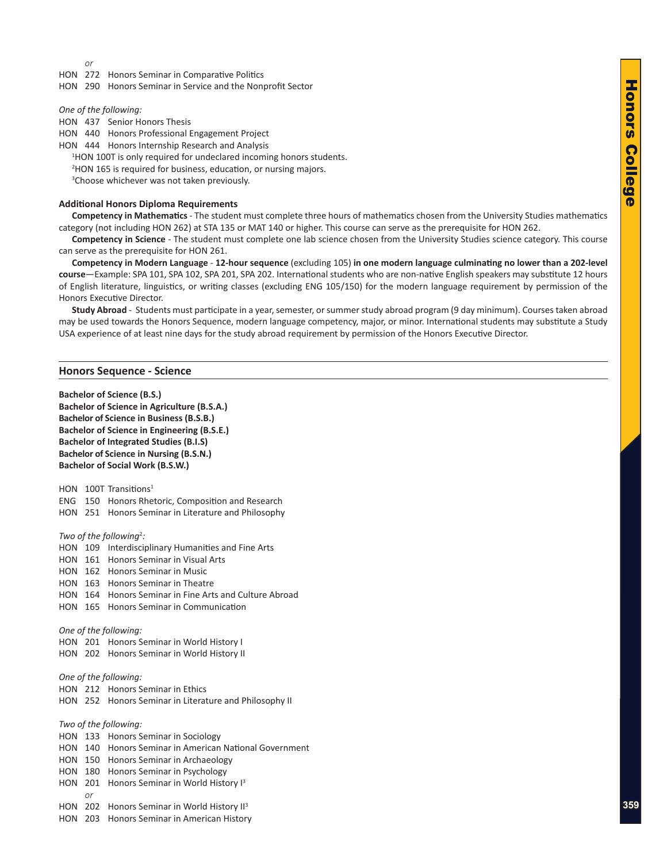$\alpha r$ 

<span id="page-2-0"></span>HON 272 Honors Seminar in Comparative Politics

HON 290 Honors Seminar in Service and the Nonprofit Sector

*One of the following:*

HON 437 Senior Honors Thesis

HON 440 Honors Professional Engagement Project

HON 444 Honors Internship Research and Analysis

<sup>1</sup>HON 100T is only required for undeclared incoming honors students.

2 HON 165 is required for business, education, or nursing majors.

<sup>3</sup>Choose whichever was not taken previously.

## **Additional Honors Diploma Requirements**

**Competency in Mathematics** - The student must complete three hours of mathematics chosen from the University Studies mathematics category (not including HON 262) at STA 135 or MAT 140 or higher. This course can serve as the prerequisite for HON 262.

**Competency in Science** - The student must complete one lab science chosen from the University Studies science category. This course can serve as the prerequisite for HON 261.

**Competency in Modern Language** - **12-hour sequence** (excluding 105) **in one modern language culminating no lower than a 202-level course**—Example: SPA 101, SPA 102, SPA 201, SPA 202. International students who are non-native English speakers may substitute 12 hours of English literature, linguistics, or writing classes (excluding ENG 105/150) for the modern language requirement by permission of the Honors Executive Director.

**Study Abroad** - Students must participate in a year, semester, or summer study abroad program (9 day minimum). Courses taken abroad may be used towards the Honors Sequence, modern language competency, major, or minor. International students may substitute a Study USA experience of at least nine days for the study abroad requirement by permission of the Honors Executive Director.

#### **Honors Sequence - Science**

**Bachelor of Science (B.S.) Bachelor of Science in Agriculture (B.S.A.) Bachelor of Science in Business (B.S.B.) Bachelor of Science in Engineering (B.S.E.) Bachelor of Integrated Studies (B.I.S) Bachelor of Science in Nursing (B.S.N.) Bachelor of Social Work (B.S.W.)**

HON 100T Transitions<sup>1</sup>

ENG 150 Honors Rhetoric, Composition and Research

HON 251 Honors Seminar in Literature and Philosophy

Two of the following<sup>2</sup>:

| <b>HON</b>            | 109 | Interdisciplinary Humanities and Fine Arts             |  |
|-----------------------|-----|--------------------------------------------------------|--|
| <b>HON</b>            | 161 | Honors Seminar in Visual Arts                          |  |
| HON                   | 162 | Honors Seminar in Music                                |  |
| HON                   | 163 | Honors Seminar in Theatre                              |  |
| HON                   | 164 | Honors Seminar in Fine Arts and Culture Abroad         |  |
| HON                   | 165 | Honors Seminar in Communication                        |  |
| One of the following: |     |                                                        |  |
|                       |     | HON 201 Honors Seminar in World History I              |  |
|                       |     | HON 202 Honors Seminar in World History II             |  |
| One of the following: |     |                                                        |  |
|                       |     | <b>HON</b> 212 Honors Seminar in Ethics                |  |
|                       |     | HON 252 Honors Seminar in Literature and Philosophy II |  |
| Two of the following: |     |                                                        |  |
|                       |     | HON 133 Honors Seminar in Sociology                    |  |
|                       |     | HON 140 Honors Seminar in American National Government |  |
| HON 150               |     | Honors Seminar in Archaeology                          |  |
| HON                   | 180 | Honors Seminar in Psychology                           |  |
| HON                   | 201 | Honors Seminar in World History I <sup>3</sup>         |  |
|                       | or  |                                                        |  |
| HON                   | 202 | Honors Seminar in World History II <sup>3</sup>        |  |
| HON                   | 203 | Honors Seminar in American History                     |  |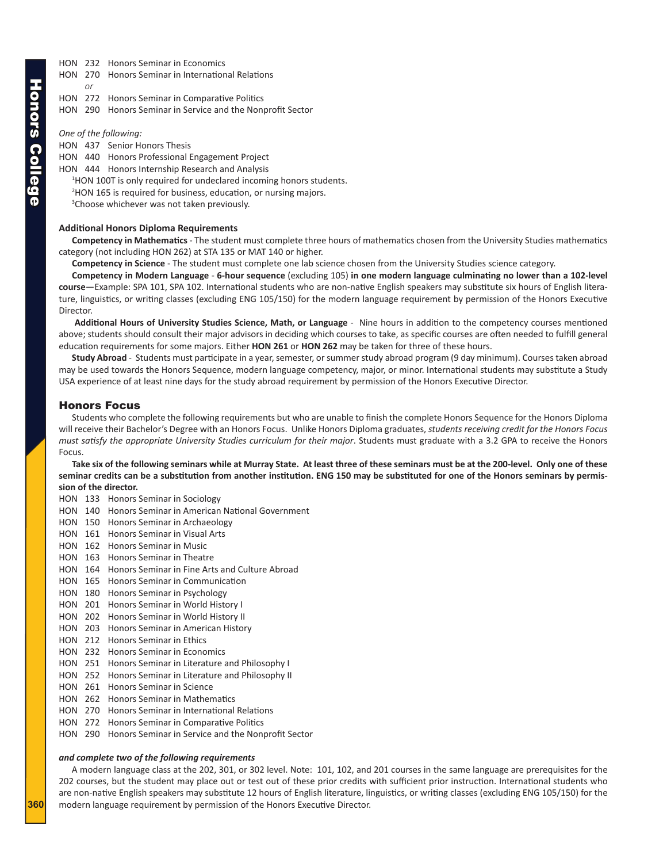- <span id="page-3-0"></span>HON 232 Honors Seminar in Economics
- HON 270 Honors Seminar in International Relations
- HON 272 Honors Seminar in Comparative Politics
- HON 290 Honors Seminar in Service and the Nonprofit Sector

*One of the following:*

 $\alpha$   $\alpha$ 

- HON 437 Senior Honors Thesis
- HON 440 Honors Professional Engagement Project
- HON 444 Honors Internship Research and Analysis
	- <sup>1</sup>HON 100T is only required for undeclared incoming honors students.
	- 2 HON 165 is required for business, education, or nursing majors.
	- <sup>3</sup>Choose whichever was not taken previously.

#### **Additional Honors Diploma Requirements**

**Competency in Mathematics** - The student must complete three hours of mathematics chosen from the University Studies mathematics category (not including HON 262) at STA 135 or MAT 140 or higher.

**Competency in Science** - The student must complete one lab science chosen from the University Studies science category.

**Competency in Modern Language** - **6-hour sequence** (excluding 105) **in one modern language culminating no lower than a 102-level course**—Example: SPA 101, SPA 102. International students who are non-native English speakers may substitute six hours of English literature, linguistics, or writing classes (excluding ENG 105/150) for the modern language requirement by permission of the Honors Executive Director.

**Additional Hours of University Studies Science, Math, or Language** - Nine hours in addition to the competency courses mentioned above; students should consult their major advisors in deciding which courses to take, as specific courses are often needed to fulfill general education requirements for some majors. Either **HON 261** or **HON 262** may be taken for three of these hours.

**Study Abroad** - Students must participate in a year, semester, or summer study abroad program (9 day minimum). Courses taken abroad may be used towards the Honors Sequence, modern language competency, major, or minor. International students may substitute a Study USA experience of at least nine days for the study abroad requirement by permission of the Honors Executive Director.

### Honors Focus

Students who complete the following requirements but who are unable to finish the complete Honors Sequence for the Honors Diploma will receive their Bachelor's Degree with an Honors Focus. Unlike Honors Diploma graduates, *students receiving credit for the Honors Focus*  must satisfy the appropriate University Studies curriculum for their major. Students must graduate with a 3.2 GPA to receive the Honors Focus.

**Take six of the following seminars while at Murray State. At least three of these seminars must be at the 200-level. Only one of these seminar credits can be a substitution from another institution. ENG 150 may be substituted for one of the Honors seminars by permission of the director.**

- HON 133 Honors Seminar in Sociology
- HON 140 Honors Seminar in American National Government
- HON 150 Honors Seminar in Archaeology
- HON 161 Honors Seminar in Visual Arts
- HON 162 Honors Seminar in Music
- HON 163 Honors Seminar in Theatre
- HON 164 Honors Seminar in Fine Arts and Culture Abroad
- HON 165 Honors Seminar in Communication
- HON 180 Honors Seminar in Psychology
- HON 201 Honors Seminar in World History I
- HON 202 Honors Seminar in World History II
- HON 203 Honors Seminar in American History
- HON 212 Honors Seminar in Ethics
- HON 232 Honors Seminar in Economics
- HON 251 Honors Seminar in Literature and Philosophy I
- HON 252 Honors Seminar in Literature and Philosophy II
- HON 261 Honors Seminar in Science
- HON 262 Honors Seminar in Mathematics
- HON 270 Honors Seminar in International Relations
- HON 272 Honors Seminar in Comparative Politics
- HON 290 Honors Seminar in Service and the Nonprofit Sector

#### *and complete two of the following requirements*

A modern language class at the 202, 301, or 302 level. Note: 101, 102, and 201 courses in the same language are prerequisites for the 202 courses, but the student may place out or test out of these prior credits with sufficient prior instruction. International students who are non-native English speakers may substitute 12 hours of English literature, linguistics, or writing classes (excluding ENG 105/150) for the modern language requirement by permission of the Honors Executive Director.